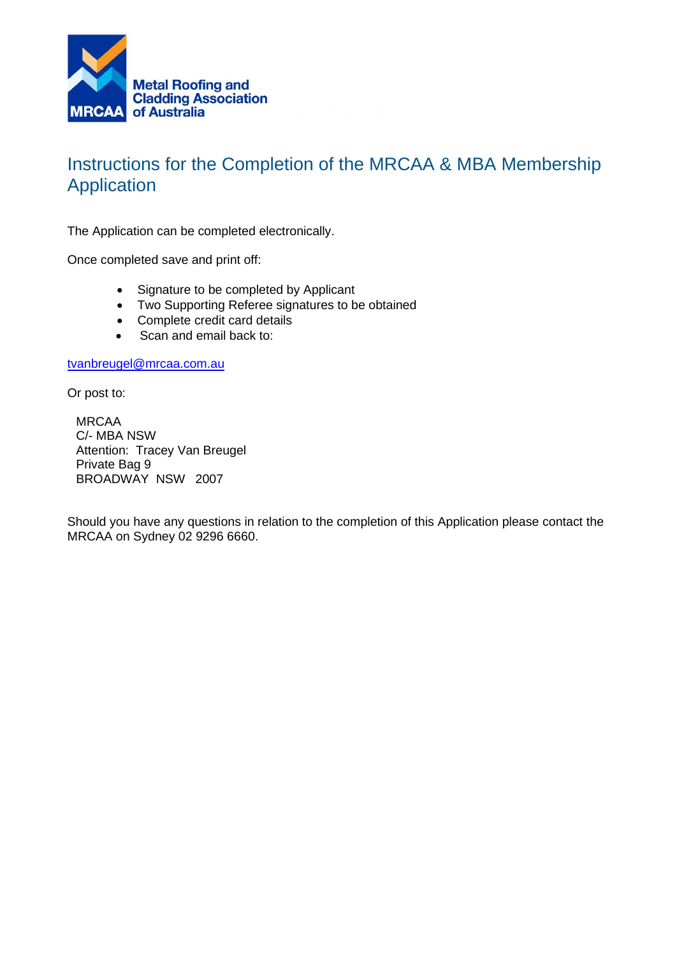

# Instructions for the Completion of the MRCAA & MBA Membership Application

The Application can be completed electronically.

Once completed save and print off:

- Signature to be completed by Applicant
- Two Supporting Referee signatures to be obtained
- Complete credit card details
- Scan and email back to:

[tvanbreugel@mrcaa.com.au](mailto:tvanbreugel@mrcaa.com.au)

Or post to:

MRCAA C/- MBA NSW Attention: Tracey Van Breugel Private Bag 9 BROADWAY NSW 2007

Should you have any questions in relation to the completion of this Application please contact the MRCAA on Sydney 02 9296 6660.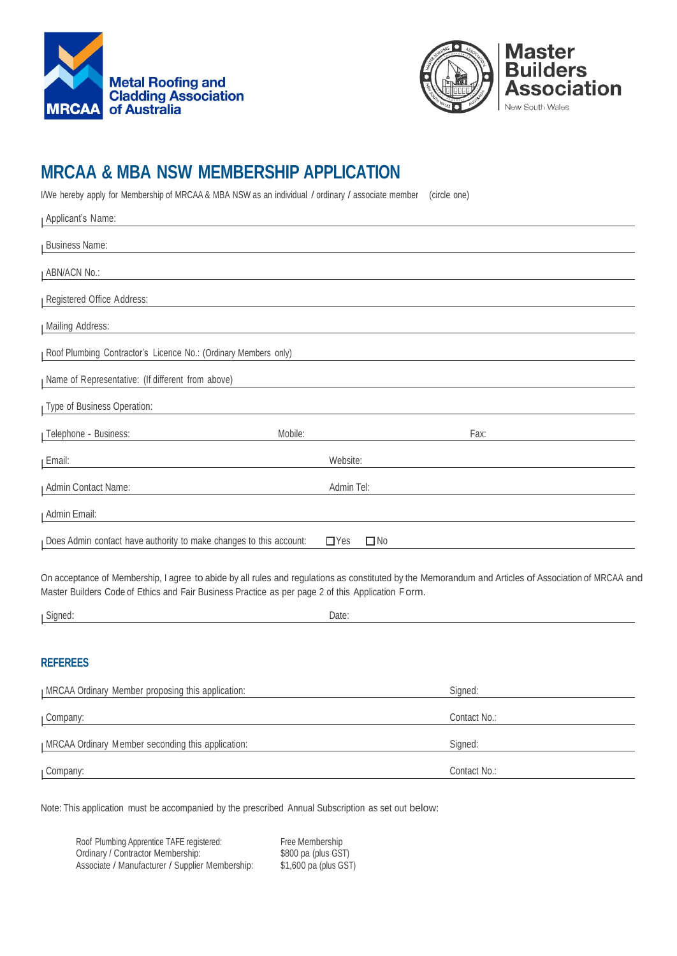



# **MRCAA & MBA NSW MEMBERSHIP APPLICATION**

I/We hereby apply for Membership of MRCAA & MBA NSW as an individual / ordinary / associate member (circle one)

| Applicant's Name:                                                  |                            |      |
|--------------------------------------------------------------------|----------------------------|------|
| <b>Business Name:</b>                                              |                            |      |
| <b>ABN/ACN No.:</b>                                                |                            |      |
| Registered Office Address:                                         |                            |      |
| Mailing Address:                                                   |                            |      |
| Roof Plumbing Contractor's Licence No.: (Ordinary Members only)    |                            |      |
| Name of Representative: (If different from above)                  |                            |      |
| Type of Business Operation:                                        |                            |      |
| Telephone - Business:<br>Mobile:                                   |                            | Fax: |
| Email:                                                             | Website:                   |      |
| Admin Contact Name:                                                | Admin Tel:                 |      |
| Admin Email:                                                       |                            |      |
| Does Admin contact have authority to make changes to this account: | $\square$ No<br>$\Box$ Yes |      |

On acceptance of Membership, I agree to abide by all rules and regulations as constituted by the Memorandum and Articles of Association of MRCAA and Master Builders Code of Ethics and Fair Business Practice as per page 2 of this Application Form.

| - | Jate:                 |
|---|-----------------------|
| ╍ | $ \sim$ $\sim$ $\sim$ |
|   |                       |

### **REFEREES**

| I MRCAA Ordinary Member proposing this application: | Signed:      |
|-----------------------------------------------------|--------------|
| <sub>I</sub> Company:                               | Contact No.: |
| I MRCAA Ordinary Member seconding this application: | Signed:      |
| <sub>I</sub> Company:                               | Contact No.: |

Note: This application must be accompanied by the prescribed Annual Subscription as set out below:

| Roof Plumbing Apprentice TAFE registered:       | Free Membership       |
|-------------------------------------------------|-----------------------|
| Ordinary / Contractor Membership:               | \$800 pa (plus GST)   |
| Associate / Manufacturer / Supplier Membership: | \$1,600 pa (plus GST) |